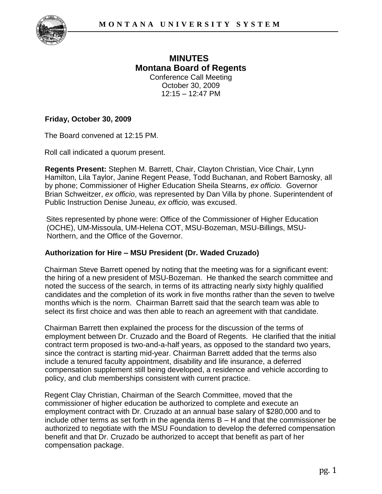

## **MINUTES Montana Board of Regents**  Conference Call Meeting October 30, 2009 12:15 – 12:47 PM

## **Friday, October 30, 2009**

The Board convened at 12:15 PM.

Roll call indicated a quorum present.

**Regents Present:** Stephen M. Barrett, Chair, Clayton Christian, Vice Chair, Lynn Hamilton, Lila Taylor, Janine Regent Pease, Todd Buchanan, and Robert Barnosky, all by phone; Commissioner of Higher Education Sheila Stearns, *ex officio.* Governor Brian Schweitzer, *ex officio*, was represented by Dan Villa by phone. Superintendent of Public Instruction Denise Juneau, *ex officio,* was excused.

Sites represented by phone were: Office of the Commissioner of Higher Education (OCHE), UM-Missoula, UM-Helena COT, MSU-Bozeman, MSU-Billings, MSU-Northern, and the Office of the Governor.

## **Authorization for Hire – MSU President (Dr. Waded Cruzado)**

Chairman Steve Barrett opened by noting that the meeting was for a significant event: the hiring of a new president of MSU-Bozeman. He thanked the search committee and noted the success of the search, in terms of its attracting nearly sixty highly qualified candidates and the completion of its work in five months rather than the seven to twelve months which is the norm. Chairman Barrett said that the search team was able to select its first choice and was then able to reach an agreement with that candidate.

Chairman Barrett then explained the process for the discussion of the terms of employment between Dr. Cruzado and the Board of Regents. He clarified that the initial contract term proposed is two-and-a-half years, as opposed to the standard two years, since the contract is starting mid-year. Chairman Barrett added that the terms also include a tenured faculty appointment, disability and life insurance, a deferred compensation supplement still being developed, a residence and vehicle according to policy, and club memberships consistent with current practice.

Regent Clay Christian, Chairman of the Search Committee, moved that the commissioner of higher education be authorized to complete and execute an employment contract with Dr. Cruzado at an annual base salary of \$280,000 and to include other terms as set forth in the agenda items B – H and that the commissioner be authorized to negotiate with the MSU Foundation to develop the deferred compensation benefit and that Dr. Cruzado be authorized to accept that benefit as part of her compensation package.